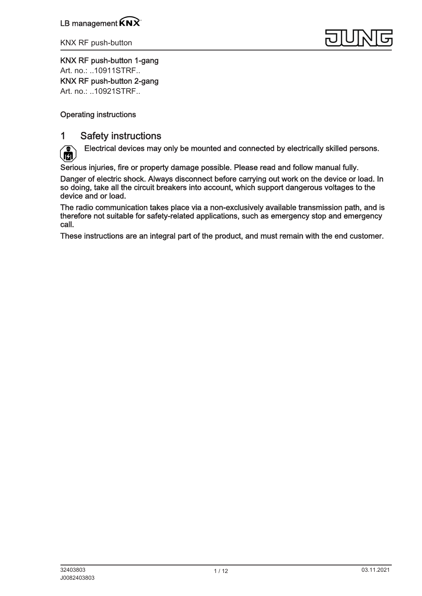

KNX RF push-button 1-gang Art. no.: [..10911STRF..](http://qr.jung.de/ean/4011377194243.htm)

KNX RF push-button 2-gang

Art. no.: [..10921STRF..](http://qr.jung.de/ean/4011377194267.htm)

## Operating instructions

## 1 Safety instructions

Electrical devices may only be mounted and connected by electrically skilled persons. ĨЙ

Serious injuries, fire or property damage possible. Please read and follow manual fully.

Danger of electric shock. Always disconnect before carrying out work on the device or load. In so doing, take all the circuit breakers into account, which support dangerous voltages to the device and or load.

The radio communication takes place via a non-exclusively available transmission path, and is therefore not suitable for safety-related applications, such as emergency stop and emergency call.

These instructions are an integral part of the product, and must remain with the end customer.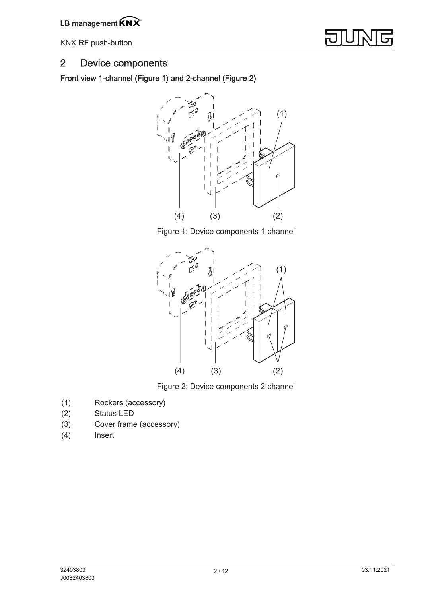

# 2 Device components

Front view 1-channel (Figure 1) and 2-channel (Figure 2)



Figure 1: Device components 1-channel



Figure 2: Device components 2-channel

- (1) Rockers (accessory)
- (2) Status LED
- (3) Cover frame (accessory)
- (4) Insert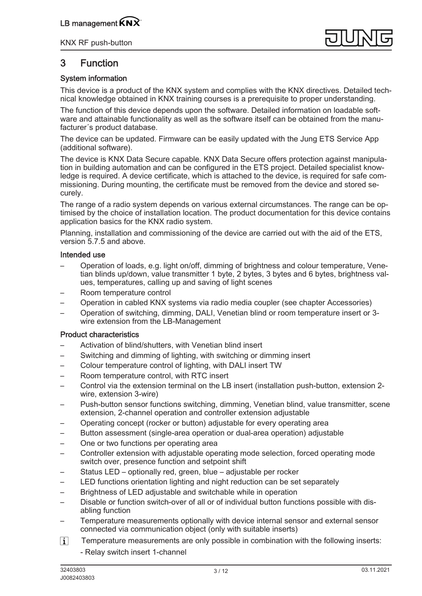

# 3 Function

### System information

This device is a product of the KNX system and complies with the KNX directives. Detailed technical knowledge obtained in KNX training courses is a prerequisite to proper understanding.

The function of this device depends upon the software. Detailed information on loadable software and attainable functionality as well as the software itself can be obtained from the manufacturer´s product database.

The device can be updated. Firmware can be easily updated with the Jung ETS Service App (additional software).

The device is KNX Data Secure capable. KNX Data Secure offers protection against manipulation in building automation and can be configured in the ETS project. Detailed specialist knowledge is required. A device certificate, which is attached to the device, is required for safe commissioning. During mounting, the certificate must be removed from the device and stored securely.

The range of a radio system depends on various external circumstances. The range can be optimised by the choice of installation location. The product documentation for this device contains application basics for the KNX radio system.

Planning, installation and commissioning of the device are carried out with the aid of the ETS, version 5.7.5 and above.

### Intended use

- Operation of loads, e.g. light on/off, dimming of brightness and colour temperature, Venetian blinds up/down, value transmitter 1 byte, 2 bytes, 3 bytes and 6 bytes, brightness values, temperatures, calling up and saving of light scenes
- Room temperature control
- Operation in cabled KNX systems via radio media coupler (see chapter Accessories)
- Operation of switching, dimming, DALI, Venetian blind or room temperature insert or 3 wire extension from the LB-Management

### Product characteristics

- Activation of blind/shutters, with Venetian blind insert
- Switching and dimming of lighting, with switching or dimming insert
- Colour temperature control of lighting, with DALI insert TW
- Room temperature control, with RTC insert
- Control via the extension terminal on the LB insert (installation push-button, extension 2 wire, extension 3-wire)
- Push-button sensor functions switching, dimming, Venetian blind, value transmitter, scene extension, 2-channel operation and controller extension adjustable
- Operating concept (rocker or button) adjustable for every operating area
- Button assessment (single-area operation or dual-area operation) adjustable
- One or two functions per operating area
- Controller extension with adjustable operating mode selection, forced operating mode switch over, presence function and setpoint shift
- Status LED optionally red, green, blue adjustable per rocker
- LED functions orientation lighting and night reduction can be set separately
- Brightness of LED adjustable and switchable while in operation
- Disable or function switch-over of all or of individual button functions possible with disabling function
- Temperature measurements optionally with device internal sensor and external sensor connected via communication object (only with suitable inserts)
- $\lceil i \rceil$ Temperature measurements are only possible in combination with the following inserts:
	- Relay switch insert 1-channel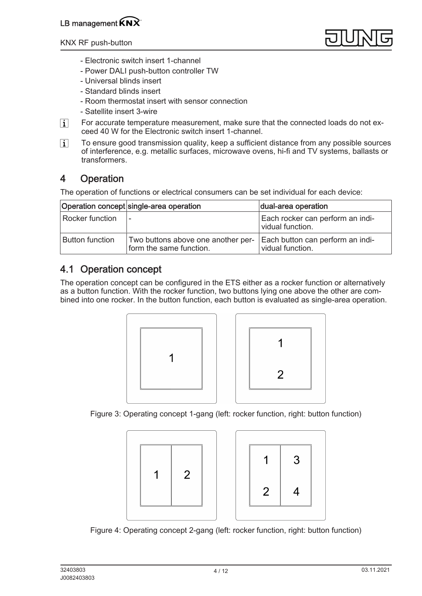

- Electronic switch insert 1-channel
- Power DALI push-button controller TW
- Universal blinds insert
- Standard blinds insert
- Room thermostat insert with sensor connection
- Satellite insert 3-wire
- $\lceil i \rceil$ For accurate temperature measurement, make sure that the connected loads do not exceed 40 W for the Electronic switch insert 1-channel.
- $\lceil i \rceil$ To ensure good transmission quality, keep a sufficient distance from any possible sources of interference, e.g. metallic surfaces, microwave ovens, hi-fi and TV systems, ballasts or transformers.

# 4 Operation

The operation of functions or electrical consumers can be set individual for each device:

|                 | Operation concept single-area operation                       | dual-area operation                                  |
|-----------------|---------------------------------------------------------------|------------------------------------------------------|
| Rocker function |                                                               | Each rocker can perform an indi-<br>vidual function. |
| Button function | Two buttons above one another per-<br>form the same function. | Each button can perform an indi-<br>vidual function. |

# 4.1 Operation concept

The operation concept can be configured in the ETS either as a rocker function or alternatively as a button function. With the rocker function, two buttons lying one above the other are combined into one rocker. In the button function, each button is evaluated as single-area operation.





Figure 3: Operating concept 1-gang (left: rocker function, right: button function)





Figure 4: Operating concept 2-gang (left: rocker function, right: button function)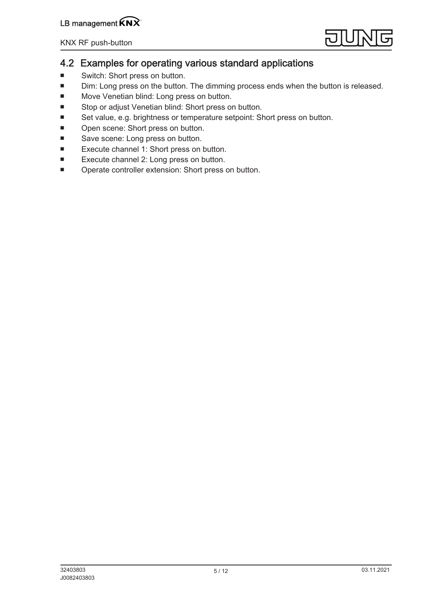

## 4.2 Examples for operating various standard applications

- Switch: Short press on button.
- Dim: Long press on the button. The dimming process ends when the button is released.
- Move Venetian blind: Long press on button.
- Stop or adjust Venetian blind: Short press on button.
- Set value, e.g. brightness or temperature setpoint: Short press on button.
- Open scene: Short press on button.
- Save scene: Long press on button.
- Execute channel 1: Short press on button.
- Execute channel 2: Long press on button.
- Operate controller extension: Short press on button.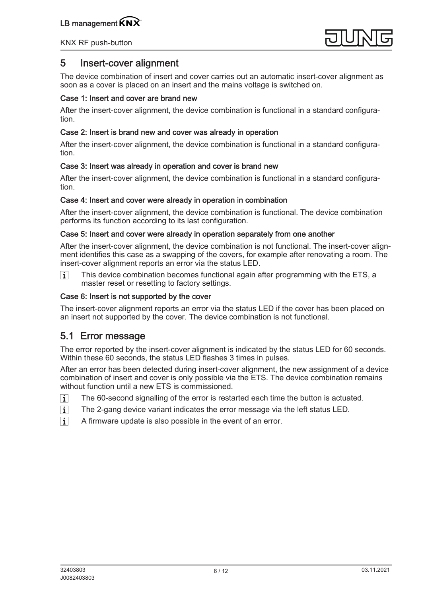

## 5 Insert-cover alignment

The device combination of insert and cover carries out an automatic insert-cover alignment as soon as a cover is placed on an insert and the mains voltage is switched on.

### Case 1: Insert and cover are brand new

After the insert-cover alignment, the device combination is functional in a standard configuration.

### Case 2: Insert is brand new and cover was already in operation

After the insert-cover alignment, the device combination is functional in a standard configuration.

### Case 3: Insert was already in operation and cover is brand new

After the insert-cover alignment, the device combination is functional in a standard configuration.

#### Case 4: Insert and cover were already in operation in combination

After the insert-cover alignment, the device combination is functional. The device combination performs its function according to its last configuration.

#### Case 5: Insert and cover were already in operation separately from one another

After the insert-cover alignment, the device combination is not functional. The insert-cover alignment identifies this case as a swapping of the covers, for example after renovating a room. The insert-cover alignment reports an error via the status LED.

 $\lceil i \rceil$ This device combination becomes functional again after programming with the ETS, a master reset or resetting to factory settings.

### Case 6: Insert is not supported by the cover

The insert-cover alignment reports an error via the status LED if the cover has been placed on an insert not supported by the cover. The device combination is not functional.

## 5.1 Error message

The error reported by the insert-cover alignment is indicated by the status LED for 60 seconds. Within these 60 seconds, the status LED flashes 3 times in pulses.

After an error has been detected during insert-cover alignment, the new assignment of a device combination of insert and cover is only possible via the ETS. The device combination remains without function until a new ETS is commissioned.

- $\overline{1}$ The 60-second signalling of the error is restarted each time the button is actuated.
- $\lceil \cdot \rceil$ The 2-gang device variant indicates the error message via the left status LED.
- $\lceil \cdot \rceil$ A firmware update is also possible in the event of an error.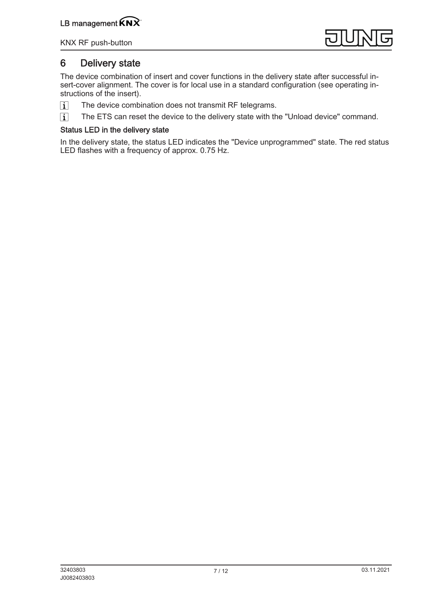

## 6 Delivery state

The device combination of insert and cover functions in the delivery state after successful insert-cover alignment. The cover is for local use in a standard configuration (see operating instructions of the insert).

- The device combination does not transmit RF telegrams.  $\overline{1}$
- $\overline{1}$ The ETS can reset the device to the delivery state with the "Unload device" command.

### Status LED in the delivery state

In the delivery state, the status LED indicates the "Device unprogrammed" state. The red status LED flashes with a frequency of approx. 0.75 Hz.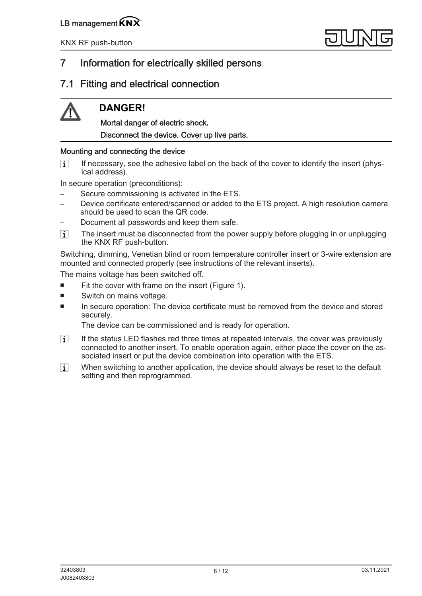# 7 Information for electrically skilled persons

## 7.1 Fitting and electrical connection

# **DANGER!**

Mortal danger of electric shock. Disconnect the device. Cover up live parts.

## Mounting and connecting the device

If necessary, see the adhesive label on the back of the cover to identify the insert (phys- $\vert i \vert$ ical address).

In secure operation (preconditions):

- Secure commissioning is activated in the ETS.
- Device certificate entered/scanned or added to the ETS project. A high resolution camera should be used to scan the QR code.
- Document all passwords and keep them safe.
- $\lceil i \rceil$ The insert must be disconnected from the power supply before plugging in or unplugging the KNX RF push-button.

Switching, dimming, Venetian blind or room temperature controller insert or 3-wire extension are mounted and connected properly (see instructions of the relevant inserts).

The mains voltage has been switched off.

- Fit the cover with frame on the insert (Figure 1).
- Switch on mains voltage.
- In secure operation: The device certificate must be removed from the device and stored securely.

The device can be commissioned and is ready for operation.

- $\lceil \cdot \rceil$ If the status LED flashes red three times at repeated intervals, the cover was previously connected to another insert. To enable operation again, either place the cover on the associated insert or put the device combination into operation with the ETS.
- When switching to another application, the device should always be reset to the default  $\overline{1}$ setting and then reprogrammed.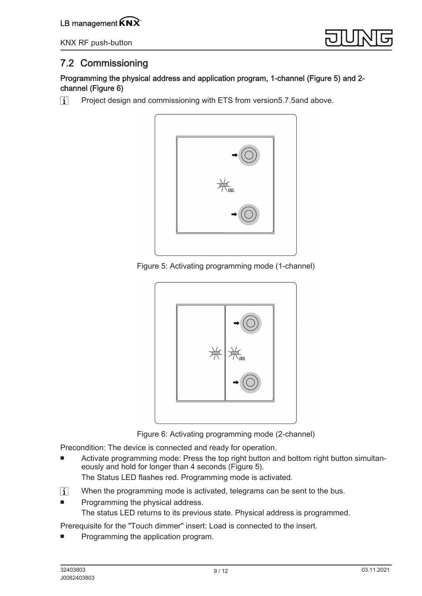LB management  $\widehat{K}N\widehat{X}$ 

KNX RF push-button



# 7.2 Commissioning

Programming the physical address and application program, 1-channel (Figure 5) and 2 channel (Figure 6)

Project design and commissioning with ETS from version5.7.5and above.  $\boxed{1}$ 



Figure 5: Activating programming mode (1-channel)



Figure 6: Activating programming mode (2-channel)

Precondition: The device is connected and ready for operation.

- Activate programming mode: Press the top right button and bottom right button simultaneously and hold for longer than 4 seconds (Figure 5). The Status LED flashes red. Programming mode is activated.
- $\boxed{\mathbf{i}}$ When the programming mode is activated, telegrams can be sent to the bus.
- Programming the physical address. The status LED returns to its previous state. Physical address is programmed.

Prerequisite for the "Touch dimmer" insert: Load is connected to the insert.

Programming the application program.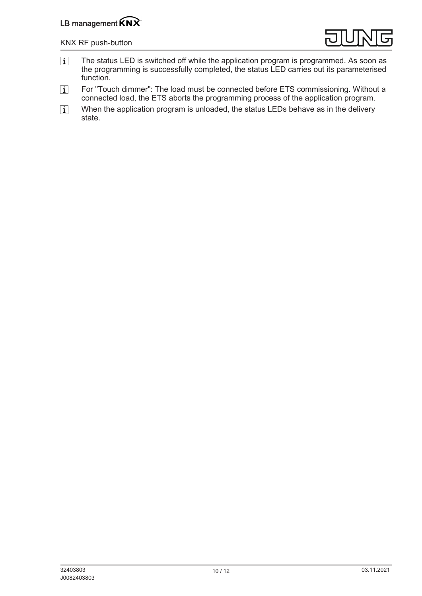## LB management  $\widehat{KNX}$

#### KNX RF push-button



- $\overline{1}$ The status LED is switched off while the application program is programmed. As soon as the programming is successfully completed, the status LED carries out its parameterised function.
- For "Touch dimmer": The load must be connected before ETS commissioning. Without a  $\lceil i \rceil$ connected load, the ETS aborts the programming process of the application program.
- When the application program is unloaded, the status LEDs behave as in the delivery  $\lceil i \rceil$ state.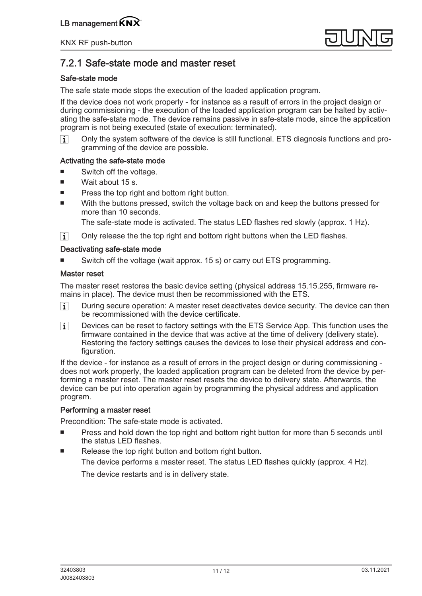

# 7.2.1 Safe-state mode and master reset

### Safe-state mode

The safe state mode stops the execution of the loaded application program.

If the device does not work properly - for instance as a result of errors in the project design or during commissioning - the execution of the loaded application program can be halted by activating the safe-state mode. The device remains passive in safe-state mode, since the application program is not being executed (state of execution: terminated).

Only the system software of the device is still functional. ETS diagnosis functions and pro- $\sqrt{1}$ gramming of the device are possible.

### Activating the safe-state mode

- Switch off the voltage.
- Wait about 15 s.
- Press the top right and bottom right button.
- With the buttons pressed, switch the voltage back on and keep the buttons pressed for more than 10 seconds.

The safe-state mode is activated. The status LED flashes red slowly (approx. 1 Hz).

 $|i|$ Only release the the top right and bottom right buttons when the LED flashes.

### Deactivating safe-state mode

Switch off the voltage (wait approx. 15 s) or carry out ETS programming.

### Master reset

The master reset restores the basic device setting (physical address 15.15.255, firmware remains in place). The device must then be recommissioned with the ETS.

- $\lceil i \rceil$ During secure operation: A master reset deactivates device security. The device can then be recommissioned with the device certificate.
- $\lceil i \rceil$ Devices can be reset to factory settings with the ETS Service App. This function uses the firmware contained in the device that was active at the time of delivery (delivery state). Restoring the factory settings causes the devices to lose their physical address and configuration.

If the device - for instance as a result of errors in the project design or during commissioning does not work properly, the loaded application program can be deleted from the device by performing a master reset. The master reset resets the device to delivery state. Afterwards, the device can be put into operation again by programming the physical address and application program.

### Performing a master reset

Precondition: The safe-state mode is activated.

- Press and hold down the top right and bottom right button for more than 5 seconds until the status LED flashes.
- Release the top right button and bottom right button. The device performs a master reset. The status LED flashes quickly (approx. 4 Hz).

The device restarts and is in delivery state.